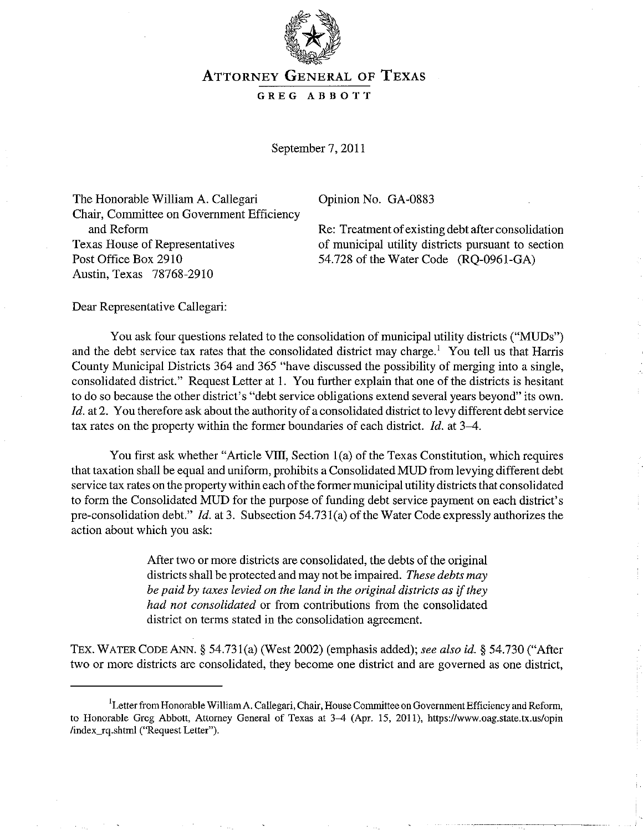

## ATTORNEY GENERAL OF TEXAS

## GREG ABBOTT

September 7, 2011

The Honorable William A. Callegari Opinion No. GA-0883 Chair, Committee on Government Efficiency and Reform Texas House of Representatives Post Office Box 2910 Austin, Texas 78768-2910

Re: Treatment of existing debt after consolidation of municipal utility districts pursuant to section 54.728 of the Water Code (RQ-0961-GA)

Dear Representative Callegari:

You ask four questions related to the consolidation of municipal utility districts ("MUDs") and the debt service tax rates that the consolidated district may charge.<sup>1</sup> You tell us that Harris County Municipal Districts 364 and 365 "have discussed the possibility of merging into a single, consolidated district." Request Letter at 1. You further explain that one of the districts is hesitant to do so because the other district's "debt service obligations extend several years beyond" its own. Id. at 2. You therefore ask about the authority of a consolidated district to levy different debt service tax rates on the property within the former boundaries of each district. *!d.* at 3-4.

You first ask whether "Article VIII, Section  $1(a)$  of the Texas Constitution, which requires that taxation shall be equal and uniform, prohibits a Consolidated MUD from levying different debt service tax rates on the property within each of the former municipal utility districts that consolidated to form the Consolidated MUD for the purpose of funding debt service payment on each district's pre-consolidation debt."  $Id.$  at 3. Subsection 54.731(a) of the Water Code expressly authorizes the action about which you ask:

> After two or more districts are consolidated, the debts of the original districts shall be protected and may not be impaired. *These debts may be paid by taxes levied on the land in the original districts as* if *they had not consolidated* or from contributions from the consolidated district on terms stated in the consolidation agreement.

TEX. WATER CODE ANN. § 54.731(a) (West 2002) (emphasis added); *see also id.* § 54.730 ("After two or more districts are consolidated, they become one district and are governed as one district,

<sup>&</sup>lt;sup>I</sup> Letter from Honorable William A. Callegari, Chair, House Committee on Government Efficiency and Reform, to Honorable Greg Abbott, Attorney General of Texas at 3-4 (Apr. 15, 2011), *https:llwww.oag.state.tx.us/opin*  lindex\_rq.shtml ("Request Letter").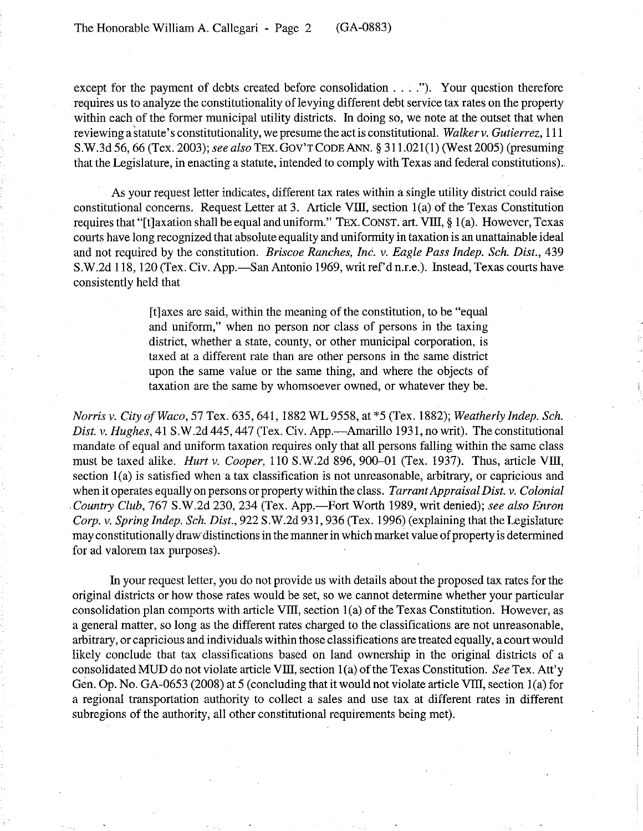except for the payment of debts created before consolidation .... "). Your question therefore requires us to analyze the constitutionality of levying different debt service tax rates on the property within each of the former municipal utility districts. In doing so, we note at the outset that when reviewing a statute's constitutionality, we presume the act is constitutional. *Walkerv. Gutierrez,* 111 S.W.3d 56, 66 (Tex. 2003); *see also* TEx. GOV'T CODE ANN. § 311.021(1) (West 2005) (presuming that the Legislature, in enacting a statute, intended to comply with Texas and federal constitutions) ..

As your request letter indicates, different tax rates within a single utility district could raise constitutional concerns. Request Letter at 3. Article VllJ, section l(a) of the Texas Constitution requires that "[t]axation shall be equal and uniform." TEX. CONST. art. VIII, § 1(a). However, Texas courts have long recognized that absolute equality and uniformity in taxation is an unattainable ideal and not required by the constitution. *Briscoe Ranches, Inc. v. Eagle Pass Indep. Sch. Dist., 439*  S.W.2d 118, 120 (Tex. Civ. App.—San Antonio 1969, writ ref'd n.r.e.). Instead, Texas courts have consistently held that

> [tlaxes are said, within the meaning of the constitution, to be "equal and uniform," when no person nor class of persons in the taxing district, whether a state, county, or other municipal corporation, is taxed at a different rate than are other persons in the same district upon the same value or the same thing, and where the objects of taxation are the same by whomsoever owned, or whatever they be.

*Norris v. City of Waco,* 57 Tex. 635, 641,1882 WL 9558, at \*5 (Tex. 1882); *Weatherly Indep. Sch. Dist. v. Hughes,* 41 S.W.2d 445, 447 (Tex. Civ. App.—Amarillo 1931, no writ). The constitutional mandate of equal and uniform taxation requires only that all persons falling within the same class must be taxed alike. *Hurt v. Cooper*, 110 S.W.2d 896, 900-01 (Tex. 1937). Thus, article VIII, section 1(a) is satisfied when a tax classification is not unreasonable, arbitrary, or capricious and when it operates equally on persons or property within the class. *Tarrant Appraisal Dist. v. Colonial Country Club,* 767 S.W.2d 230, 234 (Tex. App.-Fort Worth 1989, writ denied); *see also Enron Corp. v. Spring Indep. Sch. Dist.,* 922 S.W.2d 931,936 (Tex. 1996) (explaining that the Legislature may constitutionally draw distinctions in the manner in which market value of property is determined for ad valorem tax purposes).

In your request letter, you do not provide us with details about the proposed tax rates for the original districts or how those rates would be set, so we cannot determine whether your particular consolidation plan comports with article VIII, section  $1(a)$  of the Texas Constitution. However, as a general matter, so long as the different rates charged to the classifications are not unreasonable, arbitrary, or capricious and individuals within those classifications are treated equally, a court would likely conclude that tax classifications based on land ownership in the original districts of a consolidated MUD do not violate article VIII, section 1(a) of the Texas Constitution. *See* Tex. Att'y Gen. Op. No. GA-0653 (2008) at 5 (concluding that it would not violate article VIII, section 1(a) for a regional transportation authority to collect a sales and use tax at different rates in different subregions of the authority, all other constitutional requirements being met).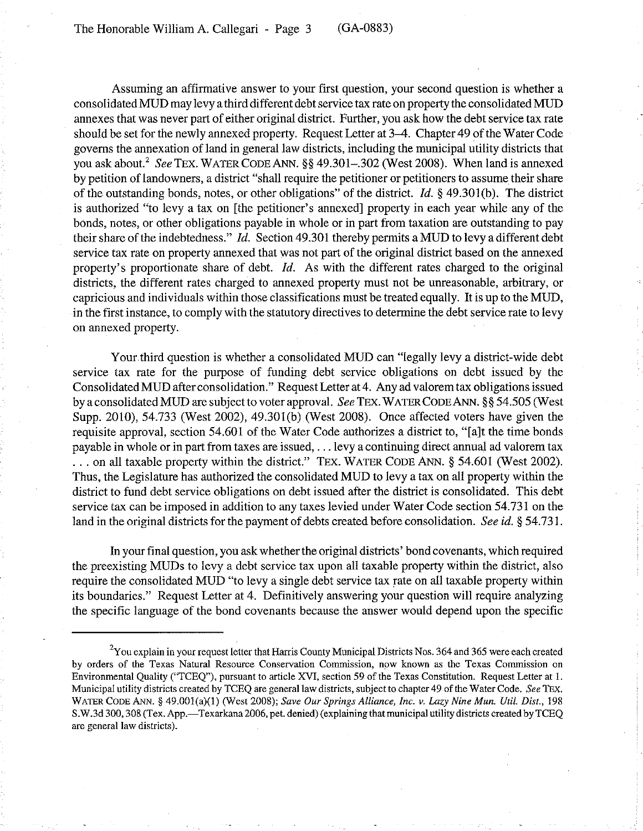Assuming an affirmative answer to your first question, your second question is whether a consolidated MUD may levy a third different debt service tax rate on property the consolidated MUD annexes that was never part of either original district. Further, you ask how the debt service tax rate should be set for the newly annexed property. Request Letter at 3-4. Chapter 49 of the Water Code governs the annexation of land in general law districts, including the municipal utility districts that you ask about.<sup>2</sup> See TEX. WATER CODE ANN. §§ 49.301-.302 (West 2008). When land is annexed by petition of landowners, a district "shall require the petitioner or petitioners to assume their share of the outstanding bonds, notes, or other obligations" of the district.  $Id. \S$  49.301(b). The district is authorized "to levy a tax on [the petitioner's annexed] property in each year while any of the bonds, notes, or other obligations payable in whole or in part from taxation are outstanding to pay their share of the indebtedness." Id. Section 49.301 thereby permits a MUD to levy a different debt service tax rate on property annexed that was not part of the original district based on the annexed property's proportionate share of debt.  $Id$ . As with the different rates charged to the original districts, the different rates charged to annexed property must not be unreasonable, arbitrary, or capricious and individuals within those classifications must be treated equally. It is up to the MUD, in the first instance, to comply with the statutory directives to determine the debt service rate to levy on annexed property.

Your third question is whether a consolidated MUD can "legally levy a district-wide debt service tax rate for the purpose of funding debt service obligations on debt issued by the Consolidated MUD after consolidation." Request Letter at 4. Any ad valorem tax obligations issued by a consolidated MUD are subject to voter approval. *See* TEX. WATER CODE ANN. §§ 54.505 (West Supp. 2010), 54.733 (West 2002), 49.301(b) (West 2008). Once affected voters have given the requisite approval, section 54.601 of the Water Code authorizes a district to, "[a]t the time bonds payable in whole or in part from taxes are issued, ... levy a continuing direct annual ad valorem tax ... on all taxable property within the district." TEX. WATER CODE ANN. § 54.601 (West 2002). Thus, the Legislature has authorized the consolidated MUD to levy a tax on all property within the district to fund debt service obligations on debt issued after the district is consolidated. This debt service tax can be imposed in addition to any taxes levied under Water Code section 54.731 on the land in the original districts for the payment of debts created before consolidation. *See id.* § 54.731.

In your final question, you ask whether the original districts' bond covenants, which required the preexisting MUDs to levy a debt service tax upon all taxable property within the district, also require the consolidated MUD "to levy a single debt service tax rate on all taxable property within its boundaries." Request Letter at 4. Definitively answering your question will require analyzing the specific language of the bond covenants because the answer would depend upon the specific

 $2$ You explain in your request letter that Harris County Municipal Districts Nos. 364 and 365 were each created by orders of the Texas Natural Resource Conservation Commission, now known as the Texas Commission on Environmental Quality ("TCEQ"), pursuant to article XVI, section 59 of the Texas Constitution. Request Letter at 1. Municipal utility districts created by TCEQ are general law districts, subject to chapter 49 of the Water Code. *See* 'TEx. WATER CODE ANN. § 49.001(a)(1) (West 2008); *Save Our Springs Alliance, Inc. v. Lazy Nine Mun. Util. Dist.*, 198 S.W.3d 300, 308 (Tex. App.—Texarkana 2006, pet. denied) (explaining that municipal utility districts created by TCEQ are general law districts).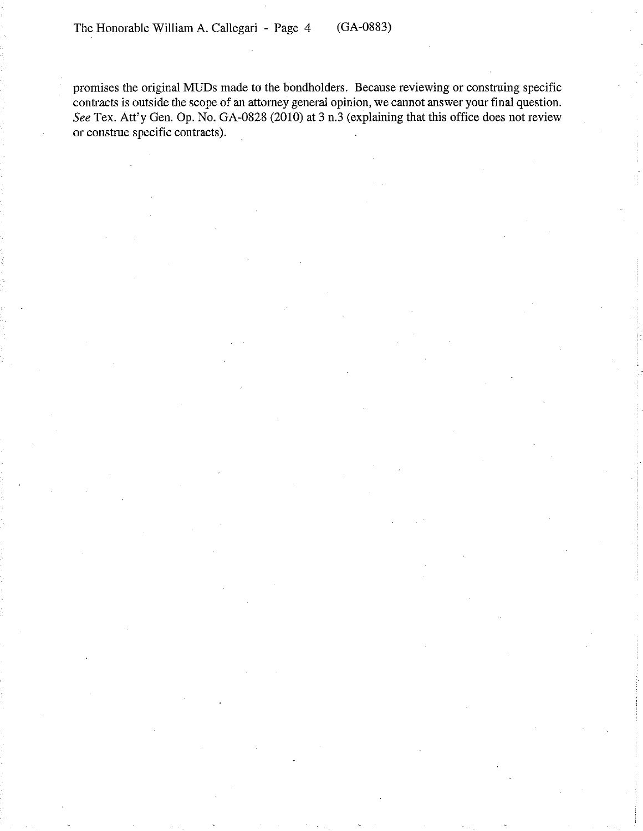promises the original MUDs made to the bondholders. Because reviewing or construing specific contracts is outside the scope of an attorney general opinion, we cannot answer your final question. *See* Tex. Att'y Gen. Op. No. GA-0828 (2010) at 3 n.3 (explaining that this office does not review or construe specific contracts).